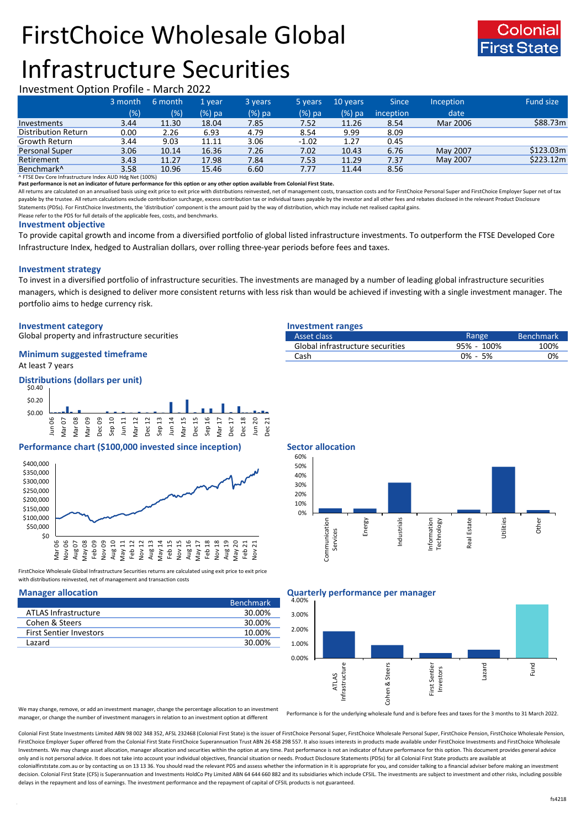# FirstChoice Wholesale Global



## Infrastructure Securities

## Investment Option Profile - March 2022

|                            | 3 month | 6 month | 1 year | 3 years  | 5 years | 10 years | <b>Since</b>     | <b>Inception</b> | <b>Fund size</b> |
|----------------------------|---------|---------|--------|----------|---------|----------|------------------|------------------|------------------|
|                            | (%)     | (%)     | (%) pa | $(%)$ pa | (%) pa  | (%) pa   | <i>inception</i> | date             |                  |
| Investments                | 3.44    | 11.30   | 18.04  | 7.85     | 7.52    | 11.26    | 8.54             | Mar 2006         | \$88.73m         |
| <b>Distribution Return</b> | 0.00    | 2.26    | 6.93   | 4.79     | 8.54    | 9.99     | 8.09             |                  |                  |
| Growth Return              | 3.44    | 9.03    | 11.11  | 3.06     | $-1.02$ | 1.27     | 0.45             |                  |                  |
| Personal Super             | 3.06    | 10.14   | 16.36  | 7.26     | 7.02    | 10.43    | 6.76             | May 2007         | \$123.03m        |
| Retirement                 | 3.43    | 11.27   | 17.98  | 7.84     | 7.53    | 11.29    | 7.37             | May 2007         | \$223.12m        |
| Benchmark <sup>^</sup>     | 3.58    | 10.96   | 15.46  | 6.60     | 7.77    | 11.44    | 8.56             |                  |                  |

^ FTSE Dev Core Infrastructure Index AUD Hdg Net (100%)

**Past performance is not an indicator of future performance for this option or any other option available from Colonial First State.**

All returns are calculated on an annualised basis using exit price to exit price with distributions reinvested, net of management costs, transaction costs and for FirstChoice Personal Super and FirstChoice Employer Super n payable by the trustee. All return calculations exclude contribution surcharge, excess contribution tax or individual taxes payable by the investor and all other fees and rebates disclosed in the relevant Product Disclosur Statements (PDSs). For FirstChoice Investments, the 'distribution' component is the amount paid by the way of distribution, which may include net realised capital gains.

Please refer to the PDS for full details of the applicable fees, costs, and benchmarks.

## **Investment objective**

To provide capital growth and income from a diversified portfolio of global listed infrastructure investments. To outperform the FTSE Developed Core Infrastructure Index, hedged to Australian dollars, over rolling three-year periods before fees and taxes.

## **Investment strategy**

To invest in a diversified portfolio of infrastructure securities. The investments are managed by a number of leading global infrastructure securities managers, which is designed to deliver more consistent returns with less risk than would be achieved if investing with a single investment manager. The portfolio aims to hedge currency risk.

## **Investment category Investment ranges**

Global property and infrastructure securities

## At least 7 years **Minimum suggested timeframe**

## **Distributions (dollars per unit)**



## **Performance chart (\$100,000 invested since inception)** Sector allocation



FirstChoice Wholesale Global Infrastructure Securities returns are calculated using exit price to exit price with distributions reinvested, net of management and transaction costs

|                                | <b>Benchmark</b> |
|--------------------------------|------------------|
| ATLAS Infrastructure           | 30.00%           |
| Cohen & Steers                 | 30.00%           |
| <b>First Sentier Investors</b> | 10.00%           |
| Lazard                         | 30.00%           |

| Asset class                      | Range       | <b>Benchmark</b> |
|----------------------------------|-------------|------------------|
| Global infrastructure securities | 95% - 100%  | 100%             |
| Cash                             | $0\% - 5\%$ | 0%               |
|                                  |             |                  |



## **Manager allocation Quarterly performance per manager**



We may change, remove, or add an investment manager, change the percentage allocation to an investment manager, or change the number of investment managers in relation to an investment option at different

Performance is for the underlying wholesale fund and is before fees and taxes for the 3 months to 31 March 2022.

Colonial First State Investments Limited ABN 98 002 348 352, AFSL 232468 (Colonial First State) is the issuer of FirstChoice Personal Super, FirstChoice Wholesale Personal Super, FirstChoice Personal Super, FirstChoice Who FirstChoice Employer Super offered from the Colonial First State FirstChoice Superannuation Trust ABN 26 458 298 557. It also issues interests in products made available under FirstChoice Investments and FirstChoice Wholes Investments. We may change asset allocation, manager allocation and securities within the option at any time. Past performance is not an indicator of future performance for this option. This document provides general advic only and is not personal advice. It does not take into account your individual objectives, financial situation or needs. Product Disclosure Statements (PDSs) for all Colonial First State products are available at colonialfirststate.com.au or by contacting us on 13 13 36. You should read the relevant PDS and assess whether the information in it is appropriate for you, and consider talking to a financial adviser before making an inve decision. Colonial First State (CFS) is Superannuation and Investments HoldCo Pty Limited ABN 64 644 660 882 and its subsidiaries which include CFSIL. The investments are subject to investment and other risks, including po delays in the repayment and loss of earnings. The investment performance and the repayment of capital of CFSIL products is not guaranteed.